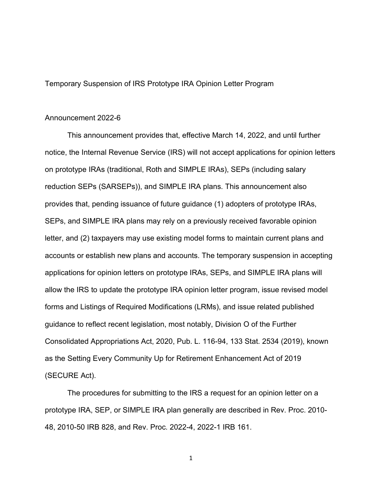Temporary Suspension of IRS Prototype IRA Opinion Letter Program

## Announcement 2022-6

This announcement provides that, effective March 14, 2022, and until further notice, the Internal Revenue Service (IRS) will not accept applications for opinion letters on prototype IRAs (traditional, Roth and SIMPLE IRAs), SEPs (including salary reduction SEPs (SARSEPs)), and SIMPLE IRA plans. This announcement also provides that, pending issuance of future guidance (1) adopters of prototype IRAs, SEPs, and SIMPLE IRA plans may rely on a previously received favorable opinion letter, and (2) taxpayers may use existing model forms to maintain current plans and accounts or establish new plans and accounts. The temporary suspension in accepting applications for opinion letters on prototype IRAs, SEPs, and SIMPLE IRA plans will allow the IRS to update the prototype IRA opinion letter program, issue revised model forms and Listings of Required Modifications (LRMs), and issue related published guidance to reflect recent legislation, most notably, Division O of the Further Consolidated Appropriations Act, 2020, Pub. L. 116-94, 133 Stat. 2534 (2019), known as the Setting Every Community Up for Retirement Enhancement Act of 2019 (SECURE Act).

The procedures for submitting to the IRS a request for an opinion letter on a prototype IRA, SEP, or SIMPLE IRA plan generally are described in Rev. Proc. 2010- 48, 2010-50 IRB 828, and Rev. Proc. 2022-4, 2022-1 IRB 161.

1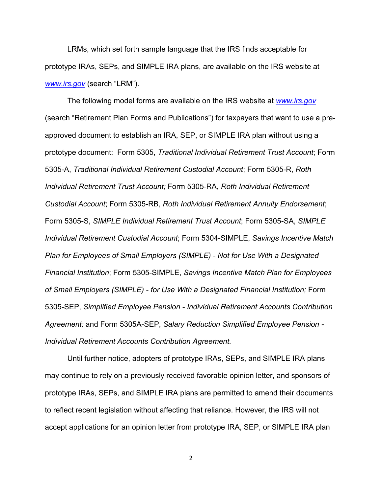LRMs, which set forth sample language that the IRS finds acceptable for prototype IRAs, SEPs, and SIMPLE IRA plans, are available on the IRS website at *www.irs.gov* (search "LRM").

The following model forms are available on the IRS website at *www.irs.gov* (search "Retirement Plan Forms and Publications") for taxpayers that want to use a preapproved document to establish an IRA, SEP, or SIMPLE IRA plan without using a prototype document: Form 5305, *Traditional Individual Retirement Trust Account*; Form 5305-A, *Traditional Individual Retirement Custodial Account*; Form 5305-R, *Roth Individual Retirement Trust Account;* Form 5305-RA, *Roth Individual Retirement Custodial Account*; Form 5305-RB, *Roth Individual Retirement Annuity Endorsement*; Form 5305-S, *SIMPLE Individual Retirement Trust Account*; Form 5305-SA, *SIMPLE Individual Retirement Custodial Account*; Form 5304-SIMPLE, *Savings Incentive Match Plan for Employees of Small Employers (SIMPLE) - Not for Use With a Designated Financial Institution*; Form 5305-SIMPLE, *Savings Incentive Match Plan for Employees of Small Employers (SIMPLE) - for Use With a Designated Financial Institution;* Form 5305-SEP, *Simplified Employee Pension - Individual Retirement Accounts Contribution Agreement;* and Form 5305A-SEP, *Salary Reduction Simplified Employee Pension - Individual Retirement Accounts Contribution Agreement.*

Until further notice, adopters of prototype IRAs, SEPs, and SIMPLE IRA plans may continue to rely on a previously received favorable opinion letter, and sponsors of prototype IRAs, SEPs, and SIMPLE IRA plans are permitted to amend their documents to reflect recent legislation without affecting that reliance. However, the IRS will not accept applications for an opinion letter from prototype IRA, SEP, or SIMPLE IRA plan

2